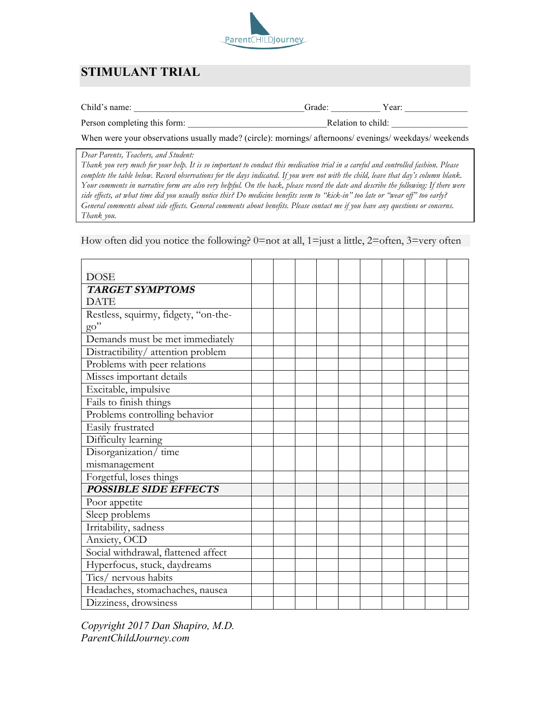

# **STIMULANT TRIAL**

| $\sim$ $\sim$<br>name <sup>.</sup><br>Child' | -rodo. | ear: |  |
|----------------------------------------------|--------|------|--|
|----------------------------------------------|--------|------|--|

Person completing this form: \_\_\_\_\_\_\_\_\_\_\_\_\_\_\_\_\_\_\_\_\_\_\_\_\_\_\_\_\_\_\_Relation to child: \_\_\_\_\_\_\_\_\_\_\_\_\_\_\_\_\_

When were your observations usually made? (circle): mornings/ afternoons/ evenings/ weekdays/ weekends

*Dear Parents, Teachers, and Student:*

*Thank you very much for your help. It is so important to conduct this medication trial in a careful and controlled fashion. Please complete the table below. Record observations for the days indicated. If you were not with the child, leave that day's column blank. Your comments in narrative form are also very helpful. On the back, please record the date and describe the following: If there were side effects, at what time did you usually notice this? Do medicine benefits seem to "kick-in" too late or "wear off" too early? General comments about side effects. General comments about benefits. Please contact me if you have any questions or concerns. Thank you.*

How often did you notice the following?  $0=$  not at all,  $1=$  just a little,  $2=$  often,  $3=$  very often

| DOSE                                 |  |  |  |  |  |
|--------------------------------------|--|--|--|--|--|
| <b>TARGET SYMPTOMS</b>               |  |  |  |  |  |
| <b>DATE</b>                          |  |  |  |  |  |
| Restless, squirmy, fidgety, "on-the- |  |  |  |  |  |
| $\mathrm{go}''$                      |  |  |  |  |  |
| Demands must be met immediately      |  |  |  |  |  |
| Distractibility/attention problem    |  |  |  |  |  |
| Problems with peer relations         |  |  |  |  |  |
| Misses important details             |  |  |  |  |  |
| Excitable, impulsive                 |  |  |  |  |  |
| Fails to finish things               |  |  |  |  |  |
| Problems controlling behavior        |  |  |  |  |  |
| Easily frustrated                    |  |  |  |  |  |
| Difficulty learning                  |  |  |  |  |  |
| Disorganization/time                 |  |  |  |  |  |
| mismanagement                        |  |  |  |  |  |
| Forgetful, loses things              |  |  |  |  |  |
| <b>POSSIBLE SIDE EFFECTS</b>         |  |  |  |  |  |
| Poor appetite                        |  |  |  |  |  |
| Sleep problems                       |  |  |  |  |  |
| Irritability, sadness                |  |  |  |  |  |
| Anxiety, OCD                         |  |  |  |  |  |
| Social withdrawal, flattened affect  |  |  |  |  |  |
| Hyperfocus, stuck, daydreams         |  |  |  |  |  |
| Tics/ nervous habits                 |  |  |  |  |  |
| Headaches, stomachaches, nausea      |  |  |  |  |  |
| Dizziness, drowsiness                |  |  |  |  |  |

*Copyright 2017 Dan Shapiro, M.D. ParentChildJourney.com*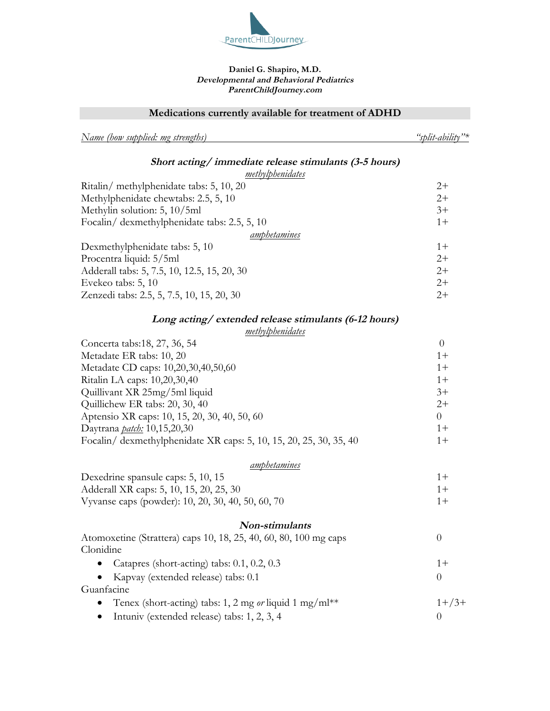

#### **Daniel G. Shapiro, M.D. Developmental and Behavioral Pediatrics ParentChildJourney.com**

**Medications currently available for treatment of ADHD**

*Name (how supplied: mg strengths) "split-ability"\**

#### **Short acting/ immediate release stimulants (3-5 hours)** *methylphenidates*

| methylphenidates                             |       |
|----------------------------------------------|-------|
| Ritalin/ methylphenidate tabs: 5, 10, 20     | $2+$  |
| Methylphenidate chewtabs: 2.5, 5, 10         | $2+$  |
| Methylin solution: 5, 10/5ml                 | $3+$  |
| Focalin/ dexmethylphenidate tabs: 2.5, 5, 10 | $1 +$ |
| amphetamines                                 |       |
| Dexmethylphenidate tabs: 5, 10               | $1 +$ |
| Procentra liquid: 5/5ml                      | $2+$  |
| Adderall tabs: 5, 7.5, 10, 12.5, 15, 20, 30  | $2+$  |
| Evekeo tabs: 5, 10                           | $2+$  |
| Zenzedi tabs: 2.5, 5, 7.5, 10, 15, 20, 30    | $2+$  |
|                                              |       |

# **Long acting/ extended release stimulants (6-12 hours)**

### *methylphenidates*

| Concerta tabs:18, 27, 36, 54                                       |          |
|--------------------------------------------------------------------|----------|
| Metadate ER tabs: 10, 20                                           | $1 +$    |
| Metadate CD caps: 10,20,30,40,50,60                                | $1 +$    |
| Ritalin LA caps: 10,20,30,40                                       | $1 +$    |
| Quillivant XR 25mg/5ml liquid                                      | $3+$     |
| Quillichew ER tabs: 20, 30, 40                                     | $2+$     |
| Aptensio XR caps: 10, 15, 20, 30, 40, 50, 60                       | $\theta$ |
| Daytrana <i>patch</i> : 10,15,20,30                                | $1 +$    |
| Focalin/ dexmethylphenidate XR caps: 5, 10, 15, 20, 25, 30, 35, 40 | $1 +$    |

#### *amphetamines*

| Dexedrine spansule caps: 5, 10, 15                |  |
|---------------------------------------------------|--|
| Adderall XR caps: 5, 10, 15, 20, 25, 30           |  |
| Vyvanse caps (powder): 10, 20, 30, 40, 50, 60, 70 |  |

#### **Non-stimulants**

| Atomoxetine (Strattera) caps 10, 18, 25, 40, 60, 80, 100 mg caps |             |
|------------------------------------------------------------------|-------------|
| Clonidine                                                        |             |
| • Catapres (short-acting) tabs: $0.1$ , $0.2$ , $0.3$            | $1 +$       |
| • Kapvay (extended release) tabs: $0.1$                          | $\theta$    |
| Guanfacine                                                       |             |
| • Tenex (short-acting) tabs: 1, 2 mg or liquid 1 mg/ml**         | $1 + 7.3 +$ |
| Intuniv (extended release) tabs: 1, 2, 3, 4                      |             |